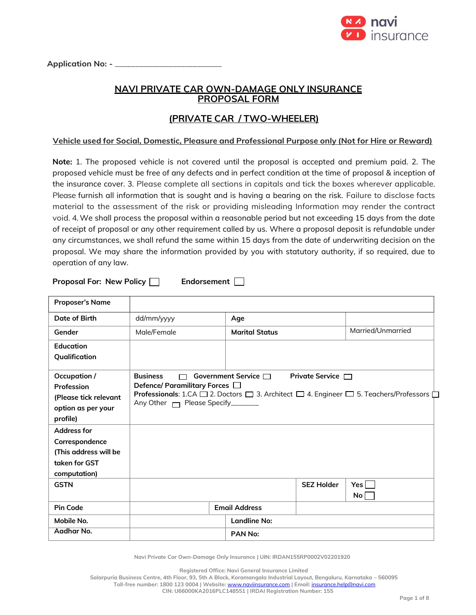

Application No: - \_

## **NAVI PRIVATE CAR OWN-DAMAGE ONLY INSURANCE PROPOSAL FORM**

# **(PRIVATE CAR / TWO-WHEELER)**

## **Vehicle used for Social, Domestic, Pleasure and Professional Purpose only (Not for Hire or Reward)**

**Note:** 1. The proposed vehicle is not covered until the proposal is accepted and premium paid. 2. The proposed vehicle must be free of any defects and in perfect condition at the time of proposal & inception of the insurance cover. 3. Please complete all sections in capitals and tick the boxes wherever applicable. Please furnish all information that is sought and is having a bearing on the risk. Failure to disclose facts material to the assessment of the risk or providing misleading Information may render the contract void. 4. We shall process the proposal within a reasonable period but not exceeding 15 days from the date of receipt of proposal or any other requirement called by us. Where a proposal deposit is refundable under any circumstances, we shall refund the same within 15 days from the date of underwriting decision on the proposal. We may share the information provided by you with statutory authority, if so required, due to operation of any law.

**Proposal For: New Policy | Endorsement** |

| <b>Proposer's Name</b>                                                                         |                                                                                                       |                           |                        |                                                                                                                                 |
|------------------------------------------------------------------------------------------------|-------------------------------------------------------------------------------------------------------|---------------------------|------------------------|---------------------------------------------------------------------------------------------------------------------------------|
| Date of Birth                                                                                  | dd/mm/yyyy                                                                                            | Age                       |                        |                                                                                                                                 |
| Gender                                                                                         | Male/Female                                                                                           | <b>Marital Status</b>     |                        | Married/Unmarried                                                                                                               |
| Education                                                                                      |                                                                                                       |                           |                        |                                                                                                                                 |
| Qualification                                                                                  |                                                                                                       |                           |                        |                                                                                                                                 |
| Occupation /<br>Profession<br>(Please tick relevant<br>option as per your<br>profile)          | <b>Business</b><br>┌─<br>Defence/ Paramilitary Forces $\Box$<br>Any Other Mendel Please Specify______ | Government Service $\Box$ | Private Service $\Box$ | <b>Professionals:</b> 1.CA $\square$ 2. Doctors $\square$ 3. Architect $\square$ 4. Engineer $\square$ 5. Teachers/Professors [ |
| <b>Address for</b><br>Correspondence<br>(This address will be<br>taken for GST<br>computation) |                                                                                                       |                           |                        |                                                                                                                                 |
| <b>GSTN</b>                                                                                    |                                                                                                       |                           | <b>SEZ Holder</b>      | Yes l<br>No <sub>1</sub>                                                                                                        |
| <b>Pin Code</b>                                                                                |                                                                                                       | <b>Email Address</b>      |                        |                                                                                                                                 |
| Mobile No.                                                                                     |                                                                                                       | <b>Landline No:</b>       |                        |                                                                                                                                 |
| Aadhar No.                                                                                     |                                                                                                       | <b>PAN No:</b>            |                        |                                                                                                                                 |

**Navi Private Car Own-Damage Only Insurance | UIN: IRDAN155RP0002V02201920**

**Registered Office: Navi General Insurance Limited**

**Salarpuria Business Centre, 4th Floor, 93, 5th A Block, Koramangala Industrial Layout, Bengaluru, Karnataka – 560095 Toll-free number: 1800 123 0004 | Website:** [www.naviinsurance.com](http://www.naviinsurance.com/) **| Email:** [insurance.help@navi.com](mailto:insurance.help@navi.com)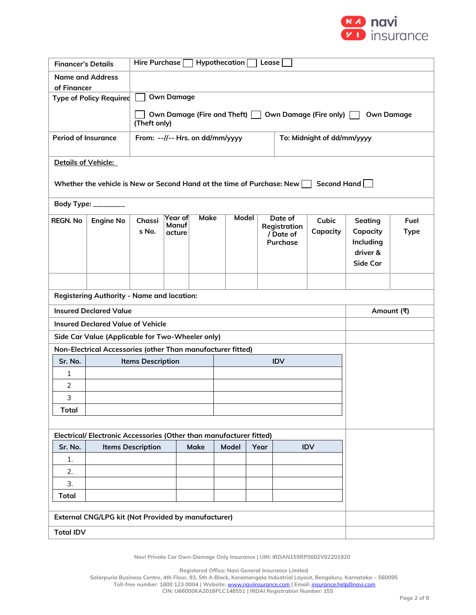

| <b>Financer's Details</b>                                          |                                                                               | Hypothecation [<br>Hire Purchase $\Box$<br><b>Lease</b>                                    |                                                                                                                                                                                  |  |  |  |            |                     |  |  |
|--------------------------------------------------------------------|-------------------------------------------------------------------------------|--------------------------------------------------------------------------------------------|----------------------------------------------------------------------------------------------------------------------------------------------------------------------------------|--|--|--|------------|---------------------|--|--|
| <b>Name and Address</b>                                            |                                                                               |                                                                                            |                                                                                                                                                                                  |  |  |  |            |                     |  |  |
| of Financer                                                        | <b>Type of Policy Required</b>                                                |                                                                                            | <b>Own Damage</b>                                                                                                                                                                |  |  |  |            |                     |  |  |
|                                                                    |                                                                               |                                                                                            |                                                                                                                                                                                  |  |  |  |            |                     |  |  |
|                                                                    |                                                                               | Own Damage (Fire and Theft)<br>Own Damage (Fire only)<br><b>Own Damage</b><br>(Theft only) |                                                                                                                                                                                  |  |  |  |            |                     |  |  |
| <b>Period of Insurance</b>                                         |                                                                               |                                                                                            | From: --//-- Hrs. on dd/mm/yyyy<br>To: Midnight of dd/mm/yyyy                                                                                                                    |  |  |  |            |                     |  |  |
|                                                                    | Details of Vehicle:                                                           |                                                                                            |                                                                                                                                                                                  |  |  |  |            |                     |  |  |
|                                                                    | Whether the vehicle is New or Second Hand at the time of Purchase: New $\Box$ |                                                                                            |                                                                                                                                                                                  |  |  |  |            | Second Hand         |  |  |
|                                                                    | Body Type: _________                                                          |                                                                                            |                                                                                                                                                                                  |  |  |  |            |                     |  |  |
| <b>REGN. No</b>                                                    | <b>Engine No</b>                                                              | Chassi<br>s No.                                                                            | Make<br>Model<br>Year of<br>Date of<br>Cubic<br>Seating<br>Manuf<br>Registration<br>Capacity<br>Capacity<br>acture<br>/ Date of<br>Purchase<br>Including<br>driver &<br>Side Car |  |  |  |            | Fuel<br><b>Type</b> |  |  |
|                                                                    |                                                                               |                                                                                            |                                                                                                                                                                                  |  |  |  |            |                     |  |  |
|                                                                    | <b>Registering Authority - Name and location:</b>                             |                                                                                            |                                                                                                                                                                                  |  |  |  |            |                     |  |  |
| <b>Insured Declared Value</b><br>Amount (₹)                        |                                                                               |                                                                                            |                                                                                                                                                                                  |  |  |  |            |                     |  |  |
|                                                                    | <b>Insured Declared Value of Vehicle</b>                                      |                                                                                            |                                                                                                                                                                                  |  |  |  |            |                     |  |  |
|                                                                    | Side Car Value (Applicable for Two-Wheeler only)                              |                                                                                            |                                                                                                                                                                                  |  |  |  |            |                     |  |  |
|                                                                    | Non-Electrical Accessories (other Than manufacturer fitted)                   |                                                                                            |                                                                                                                                                                                  |  |  |  |            |                     |  |  |
| Sr. No.                                                            |                                                                               | <b>Items Description</b>                                                                   |                                                                                                                                                                                  |  |  |  | <b>IDV</b> |                     |  |  |
| 1                                                                  |                                                                               |                                                                                            |                                                                                                                                                                                  |  |  |  |            |                     |  |  |
| $\overline{2}$                                                     |                                                                               |                                                                                            |                                                                                                                                                                                  |  |  |  |            |                     |  |  |
| 3                                                                  |                                                                               |                                                                                            |                                                                                                                                                                                  |  |  |  |            |                     |  |  |
|                                                                    | <b>Total</b>                                                                  |                                                                                            |                                                                                                                                                                                  |  |  |  |            |                     |  |  |
| Electrical/Electronic Accessories (Other than manufacturer fitted) |                                                                               |                                                                                            |                                                                                                                                                                                  |  |  |  |            |                     |  |  |
| Sr. No.                                                            |                                                                               | IDV<br><b>Items Description</b><br>Make<br>Model<br>Year                                   |                                                                                                                                                                                  |  |  |  |            |                     |  |  |
| 1.                                                                 |                                                                               |                                                                                            |                                                                                                                                                                                  |  |  |  |            |                     |  |  |
| 2.                                                                 |                                                                               |                                                                                            |                                                                                                                                                                                  |  |  |  |            |                     |  |  |
| 3.                                                                 |                                                                               |                                                                                            |                                                                                                                                                                                  |  |  |  |            |                     |  |  |
| <b>Total</b>                                                       |                                                                               |                                                                                            |                                                                                                                                                                                  |  |  |  |            |                     |  |  |
|                                                                    | External CNG/LPG kit (Not Provided by manufacturer)                           |                                                                                            |                                                                                                                                                                                  |  |  |  |            |                     |  |  |
| <b>Total IDV</b>                                                   |                                                                               |                                                                                            |                                                                                                                                                                                  |  |  |  |            |                     |  |  |

**Navi Private Car Own-Damage Only Insurance | UIN: IRDAN155RP0002V02201920**

**Registered Office: Navi General Insurance Limited**

**Salarpuria Business Centre, 4th Floor, 93, 5th A Block, Koramangala Industrial Layout, Bengaluru, Karnataka – 560095 Toll-free number: 1800 123 0004 | Website:** [www.naviinsurance.com](http://www.naviinsurance.com/) **| Email:** [insurance.help@navi.com](mailto:insurance.help@navi.com)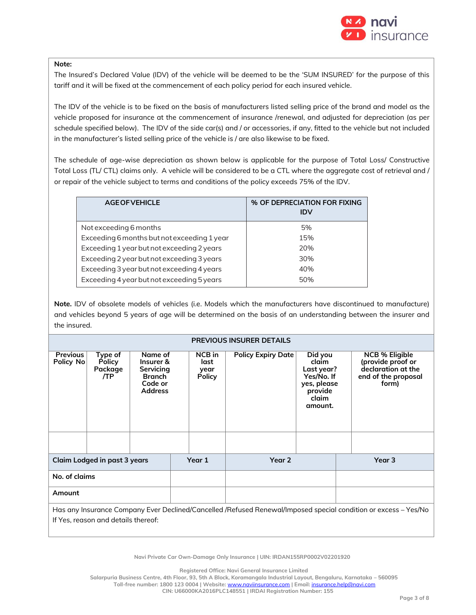

#### **Note:**

The Insured's Declared Value (IDV) of the vehicle will be deemed to be the 'SUM INSURED' for the purpose of this tariff and it will be fixed at the commencement of each policy period for each insured vehicle.

The IDV of the vehicle is to be fixed on the basis of manufacturers listed selling price of the brand and model as the vehicle proposed for insurance at the commencement of insurance /renewal, and adjusted for depreciation (as per schedule specified below). The IDV of the side car(s) and / or accessories, if any, fitted to the vehicle but not included in the manufacturer's listed selling price of the vehicle is / are also likewise to be fixed.

The schedule of age-wise depreciation as shown below is applicable for the purpose of Total Loss/ Constructive Total Loss (TL/ CTL) claims only. A vehicle will be considered to be a CTL where the aggregate cost of retrieval and / or repair of the vehicle subject to terms and conditions of the policy exceeds 75% of the IDV.

| <b>AGE OF VEHICLE</b>                       | % OF DEPRECIATION FOR FIXING<br><b>IDV</b> |
|---------------------------------------------|--------------------------------------------|
| Not exceeding 6 months                      | 5%                                         |
| Exceeding 6 months but not exceeding 1 year | 15%                                        |
| Exceeding 1 year but not exceeding 2 years  | 20%                                        |
| Exceeding 2 year but not exceeding 3 years  | 30%                                        |
| Exceeding 3 year but not exceeding 4 years  | 40%                                        |
| Exceeding 4 year but not exceeding 5 years  | 50%                                        |

**Note.** IDV of obsolete models of vehicles (i.e. Models which the manufacturers have discontinued to manufacture) and vehicles beyond 5 years of age will be determined on the basis of an understanding between the insurer and the insured.

| <b>PREVIOUS INSURER DETAILS</b> |                                                                                                                 |                                                                                 |        |                                         |                           |                                                                                            |        |                                                                                                  |  |
|---------------------------------|-----------------------------------------------------------------------------------------------------------------|---------------------------------------------------------------------------------|--------|-----------------------------------------|---------------------------|--------------------------------------------------------------------------------------------|--------|--------------------------------------------------------------------------------------------------|--|
| <b>Previous</b><br>Policy No    | Type of<br><b>Policy</b><br>Package<br>/TP                                                                      | Name of<br>Insurer &<br>Servicing<br><b>Branch</b><br>Code or<br><b>Address</b> |        | NCB in<br>last<br>year<br><b>Policy</b> | <b>Policy Expiry Date</b> | Did you<br>claim<br>Last year?<br>Yes/No. If<br>yes, please<br>provide<br>claim<br>amount. |        | <b>NCB % Eligible</b><br>(provide proof or<br>declaration at the<br>end of the proposal<br>form) |  |
|                                 |                                                                                                                 |                                                                                 |        |                                         |                           |                                                                                            |        |                                                                                                  |  |
| Claim Lodged in past 3 years    |                                                                                                                 |                                                                                 | Year 1 | Year 2                                  |                           |                                                                                            | Year 3 |                                                                                                  |  |
| No. of claims                   |                                                                                                                 |                                                                                 |        |                                         |                           |                                                                                            |        |                                                                                                  |  |
| Amount                          |                                                                                                                 |                                                                                 |        |                                         |                           |                                                                                            |        |                                                                                                  |  |
|                                 | Has any Insurance Company Ever Declined/Cancelled /Refused Renewal/Imposed special condition or excess – Yes/No |                                                                                 |        |                                         |                           |                                                                                            |        |                                                                                                  |  |
|                                 | If Yes, reason and details thereof:                                                                             |                                                                                 |        |                                         |                           |                                                                                            |        |                                                                                                  |  |

**Navi Private Car Own-Damage Only Insurance | UIN: IRDAN155RP0002V02201920**

**Registered Office: Navi General Insurance Limited**

**Salarpuria Business Centre, 4th Floor, 93, 5th A Block, Koramangala Industrial Layout, Bengaluru, Karnataka – 560095**

**Toll-free number: 1800 123 0004 | Website:** [www.naviinsurance.com](http://www.naviinsurance.com/) **| Email:** [insurance.help@navi.com](mailto:insurance.help@navi.com)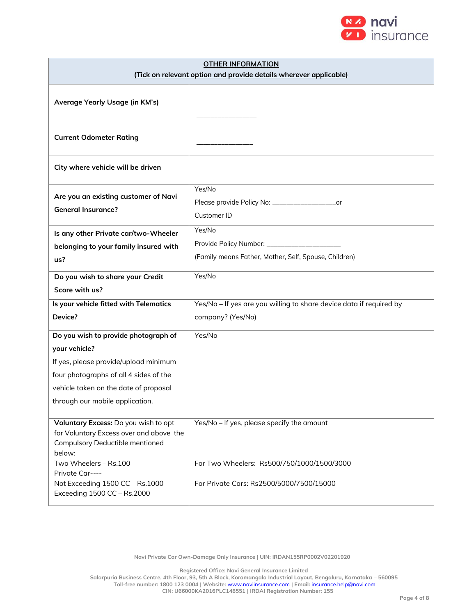

| <b>OTHER INFORMATION</b><br>(Tick on relevant option and provide details wherever applicable)                                                                                                                        |                                                                                          |  |  |  |  |
|----------------------------------------------------------------------------------------------------------------------------------------------------------------------------------------------------------------------|------------------------------------------------------------------------------------------|--|--|--|--|
| Average Yearly Usage (in KM's)                                                                                                                                                                                       |                                                                                          |  |  |  |  |
| <b>Current Odometer Rating</b>                                                                                                                                                                                       |                                                                                          |  |  |  |  |
| City where vehicle will be driven                                                                                                                                                                                    |                                                                                          |  |  |  |  |
| Are you an existing customer of Navi<br><b>General Insurance?</b>                                                                                                                                                    | Yes/No<br>_or<br>Customer ID                                                             |  |  |  |  |
| Is any other Private car/two-Wheeler<br>belonging to your family insured with<br>us?                                                                                                                                 | Yes/No<br>(Family means Father, Mother, Self, Spouse, Children)                          |  |  |  |  |
| Do you wish to share your Credit<br>Score with us?                                                                                                                                                                   | Yes/No                                                                                   |  |  |  |  |
| Is your vehicle fitted with Telematics<br>Device?                                                                                                                                                                    | Yes/No - If yes are you willing to share device data if required by<br>company? (Yes/No) |  |  |  |  |
| Do you wish to provide photograph of<br>your vehicle?<br>If yes, please provide/upload minimum<br>four photographs of all 4 sides of the<br>vehicle taken on the date of proposal<br>through our mobile application. | Yes/No                                                                                   |  |  |  |  |
| Voluntary Excess: Do you wish to opt<br>for Voluntary Excess over and above the<br>Compulsory Deductible mentioned<br>below:<br>Two Wheelers - Rs.100<br>Private Car----                                             | Yes/No - If yes, please specify the amount<br>For Two Wheelers: Rs500/750/1000/1500/3000 |  |  |  |  |
| Not Exceeding 1500 CC - Rs.1000<br>Exceeding 1500 CC - Rs.2000                                                                                                                                                       | For Private Cars: Rs2500/5000/7500/15000                                                 |  |  |  |  |

**Navi Private Car Own-Damage Only Insurance | UIN: IRDAN155RP0002V02201920**

**Registered Office: Navi General Insurance Limited**

**Salarpuria Business Centre, 4th Floor, 93, 5th A Block, Koramangala Industrial Layout, Bengaluru, Karnataka – 560095**

**Toll-free number: 1800 123 0004 | Website:** [www.naviinsurance.com](http://www.naviinsurance.com/) **| Email:** [insurance.help@navi.com](mailto:insurance.help@navi.com)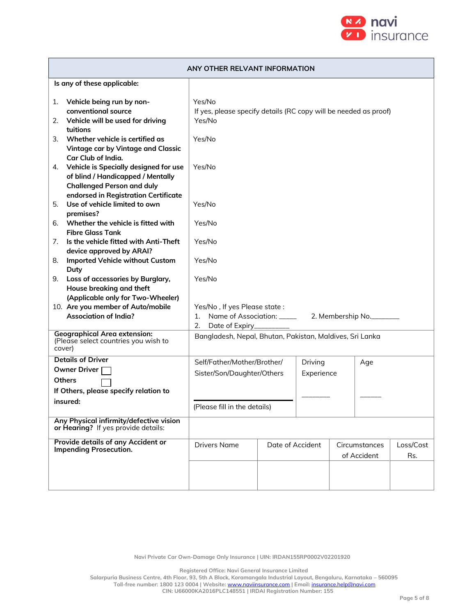

|                                                                                       | ANY OTHER RELVANT INFORMATION                                                                                                                              |                                                                                      |                  |                       |  |                              |                  |  |
|---------------------------------------------------------------------------------------|------------------------------------------------------------------------------------------------------------------------------------------------------------|--------------------------------------------------------------------------------------|------------------|-----------------------|--|------------------------------|------------------|--|
|                                                                                       | Is any of these applicable:                                                                                                                                |                                                                                      |                  |                       |  |                              |                  |  |
| 1.<br>2.                                                                              | Vehicle being run by non-<br>conventional source<br>Vehicle will be used for driving<br>tuitions                                                           | Yes/No<br>If yes, please specify details (RC copy will be needed as proof)<br>Yes/No |                  |                       |  |                              |                  |  |
| 3.                                                                                    | Whether vehicle is certified as<br>Vintage car by Vintage and Classic<br>Car Club of India.                                                                | Yes/No                                                                               |                  |                       |  |                              |                  |  |
|                                                                                       | 4. Vehicle is Specially designed for use<br>of blind / Handicapped / Mentally<br><b>Challenged Person and duly</b><br>endorsed in Registration Certificate | Yes/No                                                                               |                  |                       |  |                              |                  |  |
| 5.<br>6.                                                                              | Use of vehicle limited to own<br>premises?<br>Whether the vehicle is fitted with                                                                           | Yes/No<br>Yes/No                                                                     |                  |                       |  |                              |                  |  |
| 7.                                                                                    | <b>Fibre Glass Tank</b><br>Is the vehicle fitted with Anti-Theft<br>device approved by ARAI?                                                               | Yes/No                                                                               |                  |                       |  |                              |                  |  |
| 8.                                                                                    | <b>Imported Vehicle without Custom</b><br>Duty                                                                                                             | Yes/No                                                                               |                  |                       |  |                              |                  |  |
| Loss of accessories by Burglary,<br>9.<br>House breaking and theft                    |                                                                                                                                                            | Yes/No                                                                               |                  |                       |  |                              |                  |  |
|                                                                                       | (Applicable only for Two-Wheeler)<br>10. Are you member of Auto/mobile<br><b>Association of India?</b>                                                     | Yes/No, If yes Please state:<br>2.<br>Date of Expiry__________                       |                  |                       |  |                              |                  |  |
| <b>Geographical Area extension:</b><br>(Please select countries you wish to<br>cover) |                                                                                                                                                            | Bangladesh, Nepal, Bhutan, Pakistan, Maldives, Sri Lanka                             |                  |                       |  |                              |                  |  |
|                                                                                       | <b>Details of Driver</b><br><b>Owner Driver</b><br><b>Others</b><br>If Others, please specify relation to                                                  | Self/Father/Mother/Brother/<br>Sister/Son/Daughter/Others                            |                  | Driving<br>Experience |  | Age                          |                  |  |
| insured:                                                                              |                                                                                                                                                            | (Please fill in the details)                                                         |                  |                       |  |                              |                  |  |
|                                                                                       | Any Physical infirmity/defective vision<br>or Hearing? If yes provide details:                                                                             |                                                                                      |                  |                       |  |                              |                  |  |
|                                                                                       | <b>Provide details of any Accident or</b><br><b>Impending Prosecution.</b>                                                                                 | <b>Drivers Name</b>                                                                  | Date of Accident |                       |  | Circumstances<br>of Accident | Loss/Cost<br>Rs. |  |
|                                                                                       |                                                                                                                                                            |                                                                                      |                  |                       |  |                              |                  |  |

**Navi Private Car Own-Damage Only Insurance | UIN: IRDAN155RP0002V02201920**

**Registered Office: Navi General Insurance Limited**

**Salarpuria Business Centre, 4th Floor, 93, 5th A Block, Koramangala Industrial Layout, Bengaluru, Karnataka – 560095 Toll-free number: 1800 123 0004 | Website:** [www.naviinsurance.com](http://www.naviinsurance.com/) **| Email:** [insurance.help@navi.com](mailto:insurance.help@navi.com)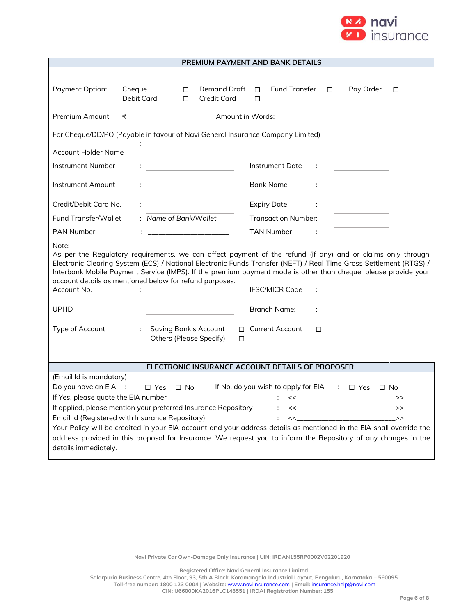

| PREMIUM PAYMENT AND BANK DETAILS                                               |                                                                                                                                                                |                                                                                                                                                                                                                                                                                                                                                                                                   |  |  |  |  |  |
|--------------------------------------------------------------------------------|----------------------------------------------------------------------------------------------------------------------------------------------------------------|---------------------------------------------------------------------------------------------------------------------------------------------------------------------------------------------------------------------------------------------------------------------------------------------------------------------------------------------------------------------------------------------------|--|--|--|--|--|
| Payment Option:                                                                | Cheque<br>Demand Draft $\Box$<br>$\Box$<br>Debit Card<br><b>Credit Card</b><br>$\Box$                                                                          | Fund Transfer<br>Pay Order<br>$\Box$<br>$\Box$<br>$\Box$                                                                                                                                                                                                                                                                                                                                          |  |  |  |  |  |
| Premium Amount:                                                                | Amount in Words:<br>₹                                                                                                                                          |                                                                                                                                                                                                                                                                                                                                                                                                   |  |  |  |  |  |
| For Cheque/DD/PO (Payable in favour of Navi General Insurance Company Limited) |                                                                                                                                                                |                                                                                                                                                                                                                                                                                                                                                                                                   |  |  |  |  |  |
| <b>Account Holder Name</b>                                                     |                                                                                                                                                                |                                                                                                                                                                                                                                                                                                                                                                                                   |  |  |  |  |  |
| Instrument Number                                                              | <u> 1990 - John Harry Harry Harry Harry Harry Harry Harry Harry Harry Harry Harry Harry Harry Harry Harry Harry H</u>                                          | Instrument Date<br>÷                                                                                                                                                                                                                                                                                                                                                                              |  |  |  |  |  |
| Instrument Amount                                                              | <u> 1990 - Johann Barbara, martxa</u>                                                                                                                          | Bank Name<br>÷                                                                                                                                                                                                                                                                                                                                                                                    |  |  |  |  |  |
| Credit/Debit Card No.                                                          |                                                                                                                                                                | <b>Expiry Date</b><br>÷                                                                                                                                                                                                                                                                                                                                                                           |  |  |  |  |  |
| <b>Fund Transfer/Wallet</b>                                                    | : Name of Bank/Wallet                                                                                                                                          | <b>Transaction Number:</b>                                                                                                                                                                                                                                                                                                                                                                        |  |  |  |  |  |
| <b>PAN Number</b>                                                              |                                                                                                                                                                | TAN Number<br>$\sim$ 1                                                                                                                                                                                                                                                                                                                                                                            |  |  |  |  |  |
| Note:<br>Account No.<br>UPI ID                                                 | account details as mentioned below for refund purposes.<br>÷                                                                                                   | As per the Regulatory requirements, we can affect payment of the refund (if any) and or claims only through<br>Electronic Clearing System (ECS) / National Electronic Funds Transfer (NEFT) / Real Time Gross Settlement (RTGS) /<br>Interbank Mobile Payment Service (IMPS). If the premium payment mode is other than cheque, please provide your<br><b>IFSC/MICR Code</b><br>Branch Name:<br>÷ |  |  |  |  |  |
| Type of Account                                                                | <b>Saving Bank's Account</b><br>÷                                                                                                                              | $\Box$ Current Account<br>П                                                                                                                                                                                                                                                                                                                                                                       |  |  |  |  |  |
|                                                                                | <b>Others (Please Specify)</b>                                                                                                                                 | $\Box$                                                                                                                                                                                                                                                                                                                                                                                            |  |  |  |  |  |
| ELECTRONIC INSURANCE ACCOUNT DETAILS OF PROPOSER                               |                                                                                                                                                                |                                                                                                                                                                                                                                                                                                                                                                                                   |  |  |  |  |  |
| (Email Id is mandatory)<br>If Yes, please quote the EIA number                 | Do you have an EIA : $\Box$ Yes $\Box$ No<br>If applied, please mention your preferred Insurance Repository<br>Email Id (Registered with Insurance Repository) | If No, do you wish to apply for EIA : $\Box$ Yes $\Box$ No<br><<________________________>><br>$\sim$ $\lt$ $\gt$<br>Your Policy will be credited in your EIA account and your address details as mentioned in the EIA shall override the<br>address provided in this proposal for Insurance. We request you to inform the Repository of any changes in the                                        |  |  |  |  |  |
| details immediately.                                                           |                                                                                                                                                                |                                                                                                                                                                                                                                                                                                                                                                                                   |  |  |  |  |  |

**Registered Office: Navi General Insurance Limited**

**Salarpuria Business Centre, 4th Floor, 93, 5th A Block, Koramangala Industrial Layout, Bengaluru, Karnataka – 560095 Toll-free number: 1800 123 0004 | Website:** [www.naviinsurance.com](http://www.naviinsurance.com/) **| Email:** [insurance.help@navi.com](mailto:insurance.help@navi.com) **CIN: U66000KA2016PLC148551 | IRDAI Registration Number: 155**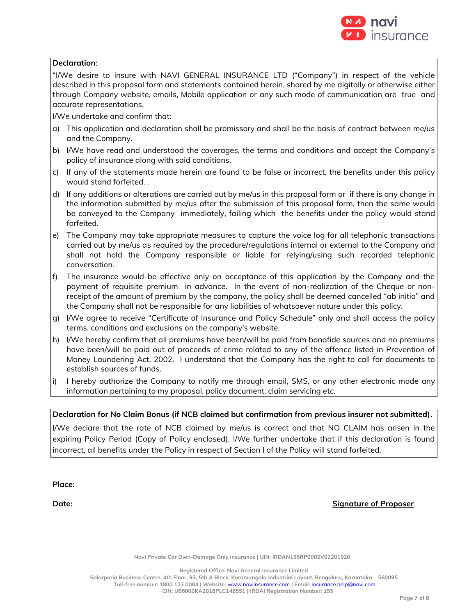

#### **Declaration**:

"I/We desire to insure with NAVI GENERAL INSURANCE LTD ("Company") in respect of the vehicle described in this proposal form and statements contained herein, shared by me digitally or otherwise either through Company website, emails, Mobile application or any such mode of communication are true and accurate representations.

I/We undertake and confirm that:

- a) This application and declaration shall be promissory and shall be the basis of contract between me/us and the Company.
- b) I/We have read and understood the coverages, the terms and conditions and accept the Company's policy of insurance along with said conditions.
- c) If any of the statements made herein are found to be false or incorrect, the benefits under this policy would stand forfeited. .
- d) If any additions or alterations are carried out by me/us in this proposal form or if there is any change in the information submitted by me/us after the submission of this proposal form, then the same would be conveyed to the Company immediately, failing which the benefits under the policy would stand forfeited.
- e) The Company may take appropriate measures to capture the voice log for all telephonic transactions carried out by me/us as required by the procedure/regulations internal or external to the Company and shall not hold the Company responsible or liable for relying/using such recorded telephonic conversation.
- f) The insurance would be effective only on acceptance of this application by the Company and the payment of requisite premium in advance. In the event of non-realization of the Cheque or nonreceipt of the amount of premium by the company, the policy shall be deemed cancelled "ab initio" and the Company shall not be responsible for any liabilities of whatsoever nature under this policy.
- g) I/We agree to receive "Certificate of Insurance and Policy Schedule" only and shall access the policy terms, conditions and exclusions on the company's website.
- h) I/We hereby confirm that all premiums have been/will be paid from bonafide sources and no premiums have been/will be paid out of proceeds of crime related to any of the offence listed in Prevention of Money Laundering Act, 2002. I understand that the Company has the right to call for documents to establish sources of funds.
- i) I hereby authorize the Company to notify me through email, SMS, or any other electronic mode any information pertaining to my proposal, policy document, claim servicing etc.

### **Declaration for No Claim Bonus (if NCB claimed but confirmation from previous insurer not submitted).**

I/We declare that the rate of NCB claimed by me/us is correct and that NO CLAIM has arisen in the expiring Policy Period (Copy of Policy enclosed). I/We further undertake that if this declaration is found incorrect, all benefits under the Policy in respect of Section I of the Policy will stand forfeited.

**Place:**

**Date: Signature of Proposer**

**Navi Private Car Own-Damage Only Insurance | UIN: IRDAN155RP0002V02201920**

**Registered Office: Navi General Insurance Limited**

**Salarpuria Business Centre, 4th Floor, 93, 5th A Block, Koramangala Industrial Layout, Bengaluru, Karnataka – 560095 Toll-free number: 1800 123 0004 | Website:** [www.naviinsurance.com](http://www.naviinsurance.com/) **| Email:** [insurance.help@navi.com](mailto:insurance.help@navi.com)